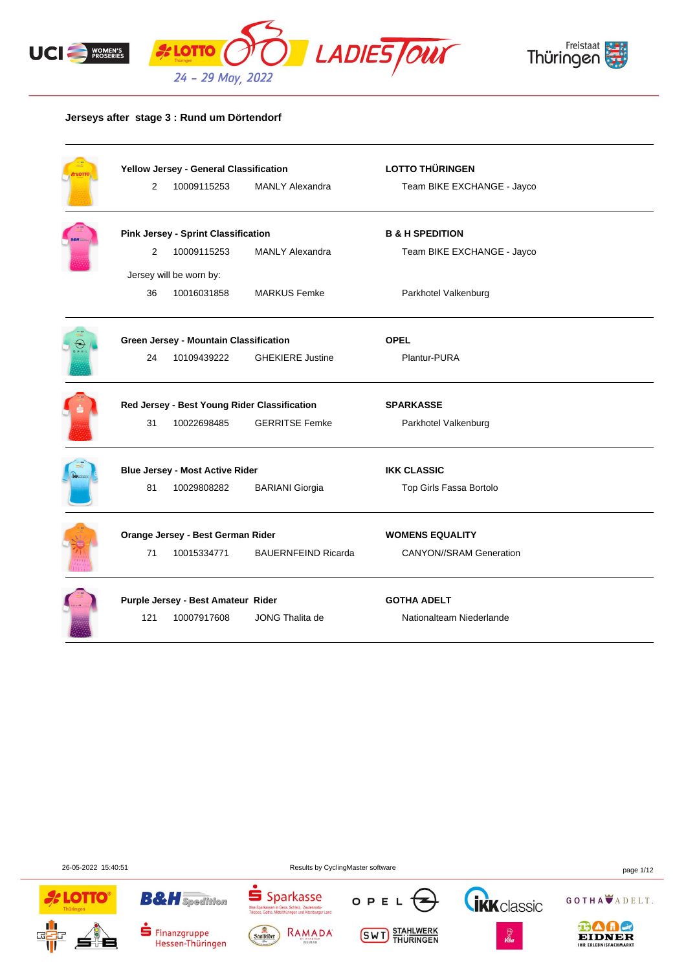



## **Jerseys after stage 3 : Rund um Dörtendorf**

|     | Yellow Jersey - General Classification       |                            | <b>LOTTO THÜRINGEN</b>         |  |
|-----|----------------------------------------------|----------------------------|--------------------------------|--|
| 2   | 10009115253                                  | <b>MANLY Alexandra</b>     | Team BIKE EXCHANGE - Jayco     |  |
|     | <b>Pink Jersey - Sprint Classification</b>   |                            | <b>B &amp; H SPEDITION</b>     |  |
| 2   | 10009115253                                  | <b>MANLY Alexandra</b>     | Team BIKE EXCHANGE - Jayco     |  |
|     | Jersey will be worn by:                      |                            |                                |  |
| 36  | 10016031858                                  | <b>MARKUS Femke</b>        | Parkhotel Valkenburg           |  |
|     | Green Jersey - Mountain Classification       |                            | <b>OPEL</b>                    |  |
| 24  | 10109439222                                  | <b>GHEKIERE Justine</b>    | Plantur-PURA                   |  |
|     | Red Jersey - Best Young Rider Classification |                            | <b>SPARKASSE</b>               |  |
| 31  | 10022698485                                  | <b>GERRITSE Femke</b>      | Parkhotel Valkenburg           |  |
|     | <b>Blue Jersey - Most Active Rider</b>       |                            | <b>IKK CLASSIC</b>             |  |
| 81  | 10029808282                                  | <b>BARIANI Giorgia</b>     | Top Girls Fassa Bortolo        |  |
|     | Orange Jersey - Best German Rider            |                            | <b>WOMENS EQUALITY</b>         |  |
| 71  | 10015334771                                  | <b>BAUERNFEIND Ricarda</b> | <b>CANYON//SRAM Generation</b> |  |
|     | Purple Jersey - Best Amateur Rider           |                            | <b>GOTHA ADELT</b>             |  |
| 121 | 10007917608                                  | JONG Thalita de            | Nationalteam Niederlande       |  |

26-05-2022 15:40:51 Results by CyclingMaster software page 1/12





**B&H** Spedition



**Thre Spa**<br>Triphae

Sparkasse





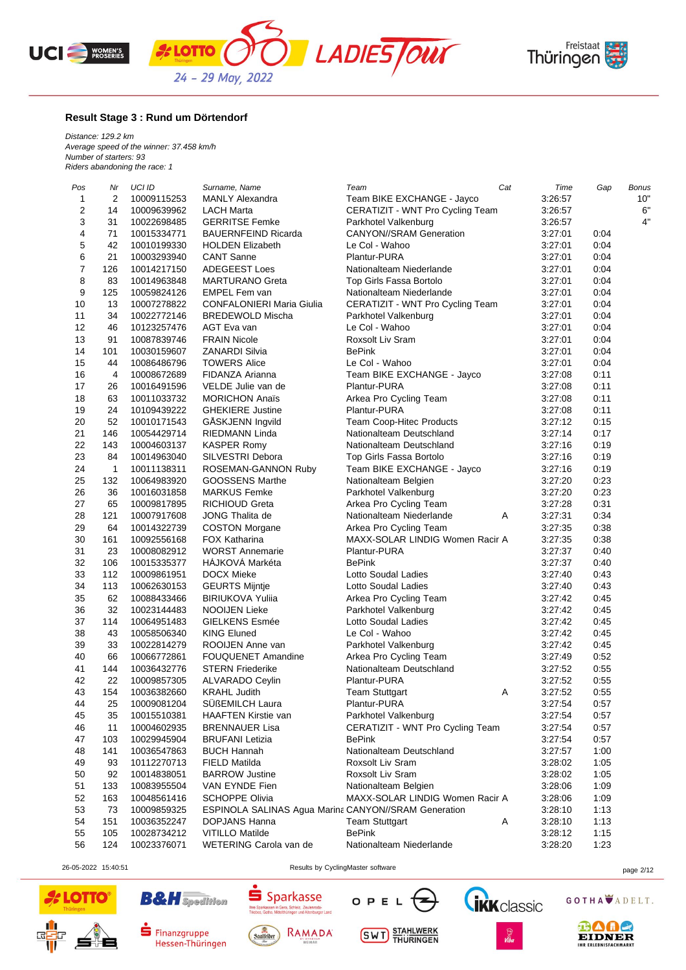





### **Result Stage 3 : Rund um Dörtendorf**

*Distance: 129.2 km Average speed of the winner: 37.458 km/h Number of starters: 93 Riders abandoning the race: 1*

| Pos            | Nr  | UCI ID      | Surname, Name                                               | Team                             | Cat | Time    | Gap  | <b>Bonus</b> |
|----------------|-----|-------------|-------------------------------------------------------------|----------------------------------|-----|---------|------|--------------|
| 1              | 2   | 10009115253 | <b>MANLY Alexandra</b>                                      | Team BIKE EXCHANGE - Jayco       |     | 3:26:57 |      | 10"          |
| $\overline{c}$ | 14  | 10009639962 | LACH Marta                                                  | CERATIZIT - WNT Pro Cycling Team |     | 3:26:57 |      | 6"           |
| 3              | 31  | 10022698485 | <b>GERRITSE Femke</b>                                       | Parkhotel Valkenburg             |     | 3:26:57 |      | 4"           |
| 4              | 71  | 10015334771 | <b>BAUERNFEIND Ricarda</b>                                  | <b>CANYON//SRAM Generation</b>   |     | 3:27:01 | 0:04 |              |
| $\mathbf 5$    | 42  | 10010199330 | <b>HOLDEN Elizabeth</b>                                     | Le Col - Wahoo                   |     | 3:27:01 | 0:04 |              |
| 6              | 21  | 10003293940 | <b>CANT Sanne</b>                                           | Plantur-PURA                     |     | 3:27:01 | 0:04 |              |
| $\overline{7}$ | 126 | 10014217150 | ADEGEEST Loes                                               | Nationalteam Niederlande         |     | 3:27:01 | 0:04 |              |
| 8              | 83  | 10014963848 | <b>MARTURANO Greta</b>                                      | Top Girls Fassa Bortolo          |     | 3:27:01 | 0:04 |              |
| 9              | 125 | 10059824126 | EMPEL Fem van                                               | Nationalteam Niederlande         |     | 3:27:01 | 0:04 |              |
| 10             | 13  | 10007278822 | CONFALONIERI Maria Giulia                                   | CERATIZIT - WNT Pro Cycling Team |     | 3:27:01 | 0:04 |              |
| 11             | 34  | 10022772146 | <b>BREDEWOLD Mischa</b>                                     | Parkhotel Valkenburg             |     | 3:27:01 | 0:04 |              |
| 12             | 46  | 10123257476 | AGT Eva van                                                 | Le Col - Wahoo                   |     | 3:27:01 | 0:04 |              |
| 13             | 91  | 10087839746 | <b>FRAIN Nicole</b>                                         | Roxsolt Liv Sram                 |     | 3:27:01 | 0:04 |              |
| 14             | 101 | 10030159607 | ZANARDI Silvia                                              | <b>BePink</b>                    |     | 3:27:01 | 0:04 |              |
| 15             | 44  | 10086486796 | <b>TOWERS Alice</b>                                         | Le Col - Wahoo                   |     | 3:27:01 | 0:04 |              |
| 16             | 4   | 10008672689 | FIDANZA Arianna                                             | Team BIKE EXCHANGE - Jayco       |     | 3:27:08 | 0:11 |              |
| 17             | 26  | 10016491596 | VELDE Julie van de                                          | Plantur-PURA                     |     | 3:27:08 | 0:11 |              |
| 18             | 63  | 10011033732 | <b>MORICHON Anaïs</b>                                       | Arkea Pro Cycling Team           |     | 3:27:08 | 0:11 |              |
| 19             | 24  | 10109439222 | <b>GHEKIERE Justine</b>                                     | Plantur-PURA                     |     | 3:27:08 | 0:11 |              |
| 20             | 52  | 10010171543 | GÅSKJENN Ingvild                                            | Team Coop-Hitec Products         |     | 3:27:12 | 0:15 |              |
| 21             | 146 | 10054429714 | RIEDMANN Linda                                              | Nationalteam Deutschland         |     | 3.27:14 | 0:17 |              |
| 22             | 143 | 10004603137 | <b>KASPER Romy</b>                                          | Nationalteam Deutschland         |     | 3:27:16 | 0:19 |              |
| 23             | 84  | 10014963040 | SILVESTRI Debora                                            | Top Girls Fassa Bortolo          |     | 3:27:16 | 0:19 |              |
| 24             | 1   | 10011138311 | ROSEMAN-GANNON Ruby                                         | Team BIKE EXCHANGE - Jayco       |     | 3:27:16 | 0:19 |              |
| 25             | 132 | 10064983920 | GOOSSENS Marthe                                             | Nationalteam Belgien             |     | 3:27:20 | 0:23 |              |
| 26             | 36  | 10016031858 | <b>MARKUS Femke</b>                                         | Parkhotel Valkenburg             |     | 3:27:20 | 0:23 |              |
| 27             | 65  | 10009817895 | <b>RICHIOUD Greta</b>                                       | Arkea Pro Cycling Team           |     | 3:27:28 | 0:31 |              |
| 28             | 121 | 10007917608 | <b>JONG Thalita de</b>                                      | Nationalteam Niederlande         | Α   | 3:27:31 | 0:34 |              |
| 29             | 64  | 10014322739 | <b>COSTON Morgane</b>                                       | Arkea Pro Cycling Team           |     | 3:27:35 | 0:38 |              |
| 30             | 161 | 10092556168 | <b>FOX Katharina</b>                                        | MAXX-SOLAR LINDIG Women Racir A  |     | 3:27:35 | 0:38 |              |
| 31             | 23  | 10008082912 | <b>WORST Annemarie</b>                                      | Plantur-PURA                     |     | 3:27:37 | 0:40 |              |
| 32             | 106 | 10015335377 | HAJKOVA Markéta                                             | <b>BePink</b>                    |     | 3:27:37 | 0:40 |              |
| 33             | 112 | 10009861951 | <b>DOCX Mieke</b>                                           | Lotto Soudal Ladies              |     | 3:27:40 | 0:43 |              |
| 34             | 113 | 10062630153 | <b>GEURTS Mijntje</b>                                       | Lotto Soudal Ladies              |     | 3:27:40 | 0:43 |              |
| 35             | 62  | 10088433466 | <b>BIRIUKOVA Yulija</b>                                     | Arkea Pro Cycling Team           |     | 3:27:42 | 0:45 |              |
| 36             | 32  | 10023144483 | <b>NOOIJEN Lieke</b>                                        | Parkhotel Valkenburg             |     | 3:27:42 | 0:45 |              |
| 37             | 114 | 10064951483 | GIELKENS Esmée                                              | Lotto Soudal Ladies              |     | 3:27:42 | 0:45 |              |
| 38             | 43  | 10058506340 | <b>KING Eluned</b>                                          | Le Col - Wahoo                   |     | 3:27:42 | 0:45 |              |
| 39             | 33  | 10022814279 | ROOIJEN Anne van                                            | Parkhotel Valkenburg             |     | 3:27:42 | 0:45 |              |
| 40             | 66  | 10066772861 | <b>FOUQUENET Amandine</b>                                   | Arkea Pro Cycling Team           |     | 3:27:49 | 0:52 |              |
| 41             | 144 | 10036432776 | <b>STERN Friederike</b>                                     | Nationalteam Deutschland         |     | 3:27:52 | 0:55 |              |
| 42             | 22  | 10009857305 | ALVARADO Ceylin                                             | Plantur-PURA                     |     | 3:27:52 | 0:55 |              |
| 43             | 154 | 10036382660 | <b>KRAHL Judith</b>                                         | <b>Team Stuttgart</b>            | A   | 3:27:52 | 0:55 |              |
| 44             | 25  | 10009081204 | <b>SUBEMILCH Laura</b>                                      | Plantur-PURA                     |     | 3:27:54 | 0:57 |              |
| 45             | 35  | 10015510381 | HAAFTEN Kirstie van                                         | Parkhotel Valkenburg             |     | 3:27:54 | 0:57 |              |
| 46             | 11  | 10004602935 | <b>BRENNAUER Lisa</b>                                       | CERATIZIT - WNT Pro Cycling Team |     | 3:27:54 | 0:57 |              |
| 47             | 103 | 10029945904 | <b>BRUFANI</b> Letizia                                      | <b>BePink</b>                    |     | 3:27:54 | 0:57 |              |
| 48             | 141 | 10036547863 | <b>BUCH Hannah</b>                                          | Nationalteam Deutschland         |     | 3:27:57 | 1:00 |              |
| 49             | 93  | 10112270713 | <b>FIELD Matilda</b>                                        | Roxsolt Liv Sram                 |     | 3:28:02 | 1:05 |              |
| 50             | 92  | 10014838051 | <b>BARROW Justine</b>                                       | Roxsolt Liv Sram                 |     | 3:28:02 | 1:05 |              |
| 51             | 133 | 10083955504 | VAN EYNDE Fien                                              | Nationalteam Belgien             |     | 3:28:06 | 1:09 |              |
| 52             | 163 | 10048561416 | <b>SCHOPPE Olivia</b>                                       | MAXX-SOLAR LINDIG Women Racir A  |     | 3:28:06 | 1:09 |              |
| 53             | 73  | 10009859325 | <b>ESPINOLA SALINAS Agua Marina CANYON//SRAM Generation</b> |                                  |     | 3:28:10 | 1:13 |              |
| 54             | 151 | 10036352247 | DOPJANS Hanna                                               | <b>Team Stuttgart</b>            | A   | 3:28:10 | 1:13 |              |
| 55             | 105 | 10028734212 | <b>VITILLO Matilde</b>                                      | <b>BePink</b>                    |     | 3:28:12 | 1:15 |              |
| 56             | 124 | 10023376071 | WETERING Carola van de                                      | Nationalteam Niederlande         |     | 3:28:20 | 1:23 |              |

26-05-2022 15:40:51 Results by CyclingMaster software page 2/12





**B&H** Spedition



 $S<sub>parkasse</sub>$ 

**Thre Spa**<br>Triphae







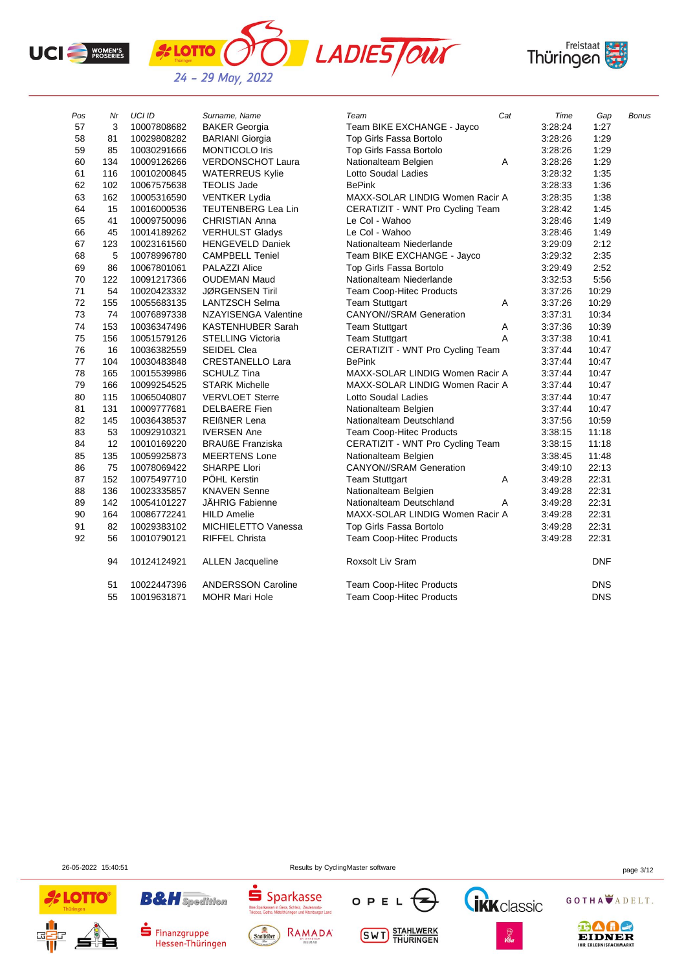

**A** LOTTO





| Pos | Nr          | <b>UCI ID</b> | Surname, Name             | Cat<br>Team                      | Time    | Gap        | <b>Bonus</b> |
|-----|-------------|---------------|---------------------------|----------------------------------|---------|------------|--------------|
| 57  | 3           | 10007808682   | <b>BAKER Georgia</b>      | Team BIKE EXCHANGE - Jayco       | 3:28:24 | 1:27       |              |
| 58  | 81          | 10029808282   | <b>BARIANI</b> Giorgia    | Top Girls Fassa Bortolo          | 3:28:26 | 1:29       |              |
| 59  | 85          | 10030291666   | <b>MONTICOLO Iris</b>     | Top Girls Fassa Bortolo          | 3.28.26 | 1:29       |              |
| 60  | 134         | 10009126266   | <b>VERDONSCHOT Laura</b>  | Nationalteam Belgien<br>Α        | 3:28:26 | 1:29       |              |
| 61  | 116         | 10010200845   | <b>WATERREUS Kylie</b>    | Lotto Soudal Ladies              | 3:28:32 | 1:35       |              |
| 62  | 102         | 10067575638   | <b>TEOLIS Jade</b>        | <b>BePink</b>                    | 3:28:33 | 1:36       |              |
| 63  | 162         | 10005316590   | <b>VENTKER Lydia</b>      | MAXX-SOLAR LINDIG Women Racir A  | 3:28:35 | 1:38       |              |
| 64  | 15          | 10016000536   | TEUTENBERG Lea Lin        | CERATIZIT - WNT Pro Cycling Team | 3:28:42 | 1:45       |              |
| 65  | 41          | 10009750096   | <b>CHRISTIAN Anna</b>     | Le Col - Wahoo                   | 3:28:46 | 1:49       |              |
| 66  | 45          | 10014189262   | <b>VERHULST Gladys</b>    | Le Col - Wahoo                   | 3:28:46 | 1:49       |              |
| 67  | 123         | 10023161560   | <b>HENGEVELD Daniek</b>   | Nationalteam Niederlande         | 3:29:09 | 2:12       |              |
| 68  | $\,$ 5 $\,$ | 10078996780   | <b>CAMPBELL Teniel</b>    | Team BIKE EXCHANGE - Jayco       | 3:29:32 | 2:35       |              |
| 69  | 86          | 10067801061   | PALAZZI Alice             | Top Girls Fassa Bortolo          | 3:29:49 | 2:52       |              |
| 70  | 122         | 10091217366   | <b>OUDEMAN Maud</b>       | Nationalteam Niederlande         | 3:32:53 | 5:56       |              |
| 71  | 54          | 10020423332   | <b>JØRGENSEN Tiril</b>    | Team Coop-Hitec Products         | 3:37:26 | 10:29      |              |
| 72  | 155         | 10055683135   | <b>LANTZSCH Selma</b>     | <b>Team Stuttgart</b><br>Α       | 3.37.26 | 10:29      |              |
| 73  | 74          | 10076897338   | NZAYISENGA Valentine      | <b>CANYON//SRAM Generation</b>   | 3:37:31 | 10:34      |              |
| 74  | 153         | 10036347496   | <b>KASTENHUBER Sarah</b>  | <b>Team Stuttgart</b><br>Α       | 3:37:36 | 10:39      |              |
| 75  | 156         | 10051579126   | <b>STELLING Victoria</b>  | <b>Team Stuttgart</b><br>A       | 3:37:38 | 10:41      |              |
| 76  | 16          | 10036382559   | <b>SEIDEL Clea</b>        | CERATIZIT - WNT Pro Cycling Team | 3:37:44 | 10:47      |              |
| 77  | 104         | 10030483848   | <b>CRESTANELLO Lara</b>   | <b>BePink</b>                    | 3:37:44 | 10:47      |              |
| 78  | 165         | 10015539986   | <b>SCHULZ Tina</b>        | MAXX-SOLAR LINDIG Women Racir A  | 3:37:44 | 10:47      |              |
| 79  | 166         | 10099254525   | <b>STARK Michelle</b>     | MAXX-SOLAR LINDIG Women Racir A  | 3:37:44 | 10:47      |              |
| 80  | 115         | 10065040807   | <b>VERVLOET Sterre</b>    | Lotto Soudal Ladies              | 3:37:44 | 10:47      |              |
| 81  | 131         | 10009777681   | <b>DELBAERE</b> Fien      | Nationalteam Belgien             | 3:37:44 | 10:47      |              |
| 82  | 145         | 10036438537   | <b>REIGNER Lena</b>       | Nationalteam Deutschland         | 3:37:56 | 10:59      |              |
| 83  | 53          | 10092910321   | <b>IVERSEN Ane</b>        | <b>Team Coop-Hitec Products</b>  | 3:38:15 | 11:18      |              |
| 84  | 12          | 10010169220   | <b>BRAUßE Franziska</b>   | CERATIZIT - WNT Pro Cycling Team | 3:38:15 | 11:18      |              |
| 85  | 135         | 10059925873   | <b>MEERTENS Lone</b>      | Nationalteam Belgien             | 3:38:45 | 11:48      |              |
| 86  | 75          | 10078069422   | <b>SHARPE Llori</b>       | <b>CANYON//SRAM Generation</b>   | 3:49:10 | 22:13      |              |
| 87  | 152         | 10075497710   | PÖHL Kerstin              | <b>Team Stuttgart</b><br>Α       | 3:49:28 | 22:31      |              |
| 88  | 136         | 10023335857   | <b>KNAVEN Senne</b>       | Nationalteam Belgien             | 3:49:28 | 22:31      |              |
| 89  | 142         | 10054101227   | JÄHRIG Fabienne           | Nationalteam Deutschland<br>Α    | 3:49:28 | 22:31      |              |
| 90  | 164         | 10086772241   | <b>HILD Amelie</b>        | MAXX-SOLAR LINDIG Women Racir A  | 3:49:28 | 22:31      |              |
| 91  | 82          | 10029383102   | MICHIELETTO Vanessa       | Top Girls Fassa Bortolo          | 3:49:28 | 22:31      |              |
| 92  | 56          | 10010790121   | <b>RIFFEL Christa</b>     | Team Coop-Hitec Products         | 3:49:28 | 22:31      |              |
|     | 94          | 10124124921   | <b>ALLEN Jacqueline</b>   | Roxsolt Liv Sram                 |         | <b>DNF</b> |              |
|     | 51          | 10022447396   | <b>ANDERSSON Caroline</b> | <b>Team Coop-Hitec Products</b>  |         | <b>DNS</b> |              |
|     | 55          | 10019631871   | <b>MOHR Mari Hole</b>     | <b>Team Coop-Hitec Products</b>  |         | <b>DNS</b> |              |

26-05-2022 15:40:51 Results by CyclingMaster software page 3/12





 $\blacksquare$  Finanzgruppe

Hessen-Thüringen









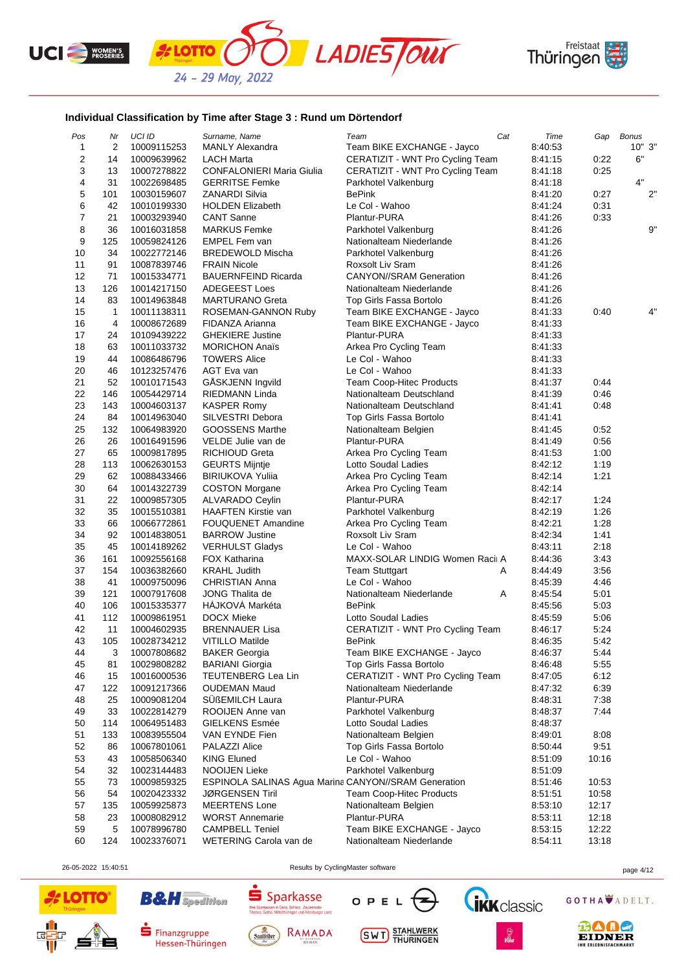





## **Individual Classification by Time after Stage 3 : Rund um Dörtendorf**

| Pos                     | Nr  | UCI ID      | Surname, Name                                        | Team                             | Cat | Time    | Gap   | <b>Bonus</b> |
|-------------------------|-----|-------------|------------------------------------------------------|----------------------------------|-----|---------|-------|--------------|
| 1                       | 2   | 10009115253 | <b>MANLY Alexandra</b>                               | Team BIKE EXCHANGE - Jayco       |     | 8:40:53 |       | 10"3"        |
| $\overline{\mathbf{c}}$ | 14  | 10009639962 | LACH Marta                                           | CERATIZIT - WNT Pro Cycling Team |     | 8:41:15 | 0:22  | 6"           |
| 3                       | 13  | 10007278822 | <b>CONFALONIERI Maria Giulia</b>                     | CERATIZIT - WNT Pro Cycling Team |     | 8:41:18 | 0:25  |              |
| 4                       | 31  | 10022698485 | <b>GERRITSE Femke</b>                                | Parkhotel Valkenburg             |     | 8:41:18 |       | 4"           |
| 5                       | 101 | 10030159607 | <b>ZANARDI Silvia</b>                                | <b>BePink</b>                    |     | 8:41:20 | 0:27  | 2"           |
| 6                       | 42  | 10010199330 | <b>HOLDEN Elizabeth</b>                              | Le Col - Wahoo                   |     | 8:41:24 | 0:31  |              |
| $\overline{7}$          | 21  | 10003293940 | <b>CANT Sanne</b>                                    | Plantur-PURA                     |     | 8:41:26 | 0:33  |              |
| 8                       | 36  | 10016031858 | <b>MARKUS Femke</b>                                  | Parkhotel Valkenburg             |     | 8:41:26 |       | 9"           |
| 9                       | 125 | 10059824126 | EMPEL Fem van                                        | Nationalteam Niederlande         |     | 8:41:26 |       |              |
| 10                      | 34  | 10022772146 | <b>BREDEWOLD Mischa</b>                              | Parkhotel Valkenburg             |     | 8:41:26 |       |              |
| 11                      | 91  | 10087839746 | <b>FRAIN Nicole</b>                                  | Roxsolt Liv Sram                 |     | 8:41:26 |       |              |
| 12                      | 71  | 10015334771 | <b>BAUERNFEIND Ricarda</b>                           | <b>CANYON//SRAM Generation</b>   |     | 8:41:26 |       |              |
| 13                      | 126 | 10014217150 | <b>ADEGEEST Loes</b>                                 | Nationalteam Niederlande         |     | 8:41:26 |       |              |
| 14                      | 83  | 10014963848 | <b>MARTURANO Greta</b>                               | Top Girls Fassa Bortolo          |     | 8:41:26 |       |              |
| 15                      | 1   | 10011138311 | ROSEMAN-GANNON Ruby                                  | Team BIKE EXCHANGE - Jayco       |     | 8:41:33 | 0:40  | 4"           |
| 16                      | 4   | 10008672689 | FIDANZA Arianna                                      | Team BIKE EXCHANGE - Jayco       |     | 8:41:33 |       |              |
| 17                      | 24  | 10109439222 | <b>GHEKIERE Justine</b>                              | Plantur-PURA                     |     | 8:41:33 |       |              |
| 18                      | 63  | 10011033732 | <b>MORICHON Anaïs</b>                                | Arkea Pro Cycling Team           |     | 8:41:33 |       |              |
| 19                      | 44  | 10086486796 | <b>TOWERS Alice</b>                                  | Le Col - Wahoo                   |     |         |       |              |
| 20                      |     |             | AGT Eva van                                          |                                  |     | 8:41:33 |       |              |
| 21                      | 46  | 10123257476 |                                                      | Le Col - Wahoo                   |     | 8:41:33 |       |              |
|                         | 52  | 10010171543 | GÅSKJENN Ingvild                                     | Team Coop-Hitec Products         |     | 8:41:37 | 0:44  |              |
| 22                      | 146 | 10054429714 | <b>RIEDMANN Linda</b>                                | Nationalteam Deutschland         |     | 8:41:39 | 0:46  |              |
| 23                      | 143 | 10004603137 | <b>KASPER Romy</b>                                   | Nationalteam Deutschland         |     | 8:41:41 | 0:48  |              |
| 24                      | 84  | 10014963040 | SILVESTRI Debora                                     | Top Girls Fassa Bortolo          |     | 8:41:41 |       |              |
| 25                      | 132 | 10064983920 | GOOSSENS Marthe                                      | Nationalteam Belgien             |     | 8:41:45 | 0:52  |              |
| 26                      | 26  | 10016491596 | VELDE Julie van de                                   | Plantur-PURA                     |     | 8:41:49 | 0:56  |              |
| 27                      | 65  | 10009817895 | <b>RICHIOUD Greta</b>                                | Arkea Pro Cycling Team           |     | 8:41:53 | 1:00  |              |
| 28                      | 113 | 10062630153 | <b>GEURTS Mijntje</b>                                | Lotto Soudal Ladies              |     | 8:42:12 | 1:19  |              |
| 29                      | 62  | 10088433466 | <b>BIRIUKOVA Yulija</b>                              | Arkea Pro Cycling Team           |     | 8:42:14 | 1:21  |              |
| 30                      | 64  | 10014322739 | <b>COSTON Morgane</b>                                | Arkea Pro Cycling Team           |     | 8:42:14 |       |              |
| 31                      | 22  | 10009857305 | <b>ALVARADO Ceylin</b>                               | Plantur-PURA                     |     | 8:42:17 | 1:24  |              |
| 32                      | 35  | 10015510381 | <b>HAAFTEN Kirstie van</b>                           | Parkhotel Valkenburg             |     | 8:42:19 | 1:26  |              |
| 33                      | 66  | 10066772861 | <b>FOUQUENET Amandine</b>                            | Arkea Pro Cycling Team           |     | 8:42:21 | 1:28  |              |
| 34                      | 92  | 10014838051 | <b>BARROW Justine</b>                                | Roxsolt Liv Sram                 |     | 8:42:34 | 1:41  |              |
| 35                      | 45  | 10014189262 | <b>VERHULST Gladys</b>                               | Le Col - Wahoo                   |     | 8:43:11 | 2:18  |              |
| 36                      | 161 | 10092556168 | <b>FOX Katharina</b>                                 | MAXX-SOLAR LINDIG Women Racii A  |     | 8:44:36 | 3:43  |              |
| 37                      | 154 | 10036382660 | <b>KRAHL Judith</b>                                  | Team Stuttgart                   | Α   | 8:44:49 | 3:56  |              |
| 38                      | 41  | 10009750096 | <b>CHRISTIAN Anna</b>                                | Le Col - Wahoo                   |     | 8:45:39 | 4:46  |              |
| 39                      | 121 | 10007917608 | <b>JONG Thalita de</b>                               | Nationalteam Niederlande         | Α   | 8:45:54 | 5:01  |              |
| 40                      | 106 | 10015335377 | HÁJKOVÁ Markéta                                      | <b>BePink</b>                    |     | 8:45:56 | 5:03  |              |
| 41                      | 112 | 10009861951 | DOCX Mieke                                           | Lotto Soudal Ladies              |     | 8:45:59 | 5:06  |              |
| 42                      | 11  | 10004602935 | <b>BRENNAUER Lisa</b>                                | CERATIZIT - WNT Pro Cycling Team |     | 8:46:17 | 5:24  |              |
| 43                      | 105 | 10028734212 | <b>VITILLO Matilde</b>                               | <b>BePink</b>                    |     | 8:46:35 | 5:42  |              |
| 44                      | 3   | 10007808682 | <b>BAKER Georgia</b>                                 | Team BIKE EXCHANGE - Jayco       |     | 8:46:37 | 5:44  |              |
| 45                      | 81  | 10029808282 | <b>BARIANI Giorgia</b>                               | Top Girls Fassa Bortolo          |     | 8:46:48 | 5:55  |              |
| 46                      | 15  | 10016000536 | TEUTENBERG Lea Lin                                   | CERATIZIT - WNT Pro Cycling Team |     | 8:47:05 | 6:12  |              |
| 47                      | 122 | 10091217366 | <b>OUDEMAN Maud</b>                                  | Nationalteam Niederlande         |     | 8:47:32 | 6:39  |              |
| 48                      | 25  | 10009081204 | SÜßEMILCH Laura                                      | Plantur-PURA                     |     | 8:48:31 | 7:38  |              |
| 49                      | 33  | 10022814279 | ROOIJEN Anne van                                     | Parkhotel Valkenburg             |     | 8:48:37 | 7:44  |              |
| 50                      | 114 | 10064951483 | GIELKENS Esmée                                       | Lotto Soudal Ladies              |     | 8:48:37 |       |              |
| 51                      | 133 | 10083955504 | VAN EYNDE Fien                                       | Nationalteam Belgien             |     | 8:49:01 | 8:08  |              |
| 52                      | 86  | 10067801061 | PALAZZI Alice                                        | Top Girls Fassa Bortolo          |     | 8:50:44 | 9:51  |              |
| 53                      | 43  | 10058506340 | <b>KING Eluned</b>                                   | Le Col - Wahoo                   |     | 8:51:09 | 10:16 |              |
| 54                      | 32  | 10023144483 | NOOIJEN Lieke                                        | Parkhotel Valkenburg             |     | 8:51:09 |       |              |
| 55                      | 73  | 10009859325 | ESPINOLA SALINAS Agua Marina CANYON//SRAM Generation |                                  |     | 8:51:46 | 10:53 |              |
| 56                      | 54  | 10020423332 | <b>JØRGENSEN Tiril</b>                               | <b>Team Coop-Hitec Products</b>  |     | 8:51:51 | 10:58 |              |
| 57                      | 135 | 10059925873 | <b>MEERTENS Lone</b>                                 | Nationalteam Belgien             |     | 8:53:10 | 12:17 |              |
| 58                      | 23  | 10008082912 | <b>WORST Annemarie</b>                               | Plantur-PURA                     |     | 8:53:11 | 12:18 |              |
| 59                      | 5   |             | <b>CAMPBELL Teniel</b>                               |                                  |     |         |       |              |
|                         |     | 10078996780 |                                                      | Team BIKE EXCHANGE - Jayco       |     | 8:53:15 | 12:22 |              |
| 60                      | 124 | 10023376071 | WETERING Carola van de                               | Nationalteam Niederlande         |     | 8:54:11 | 13:18 |              |

26-05-2022 15:40:51 Results by CyclingMaster software page 4/12





**B&H** Spedition



 $S<sub>parkasse</sub>$ 

Thre Sp

J d T K d SSC<br>Gera, Schleiz, Zeulenroda-<br>ttelthüringen und Altenburger Land

**SWT** STAHLWERK

OPEL



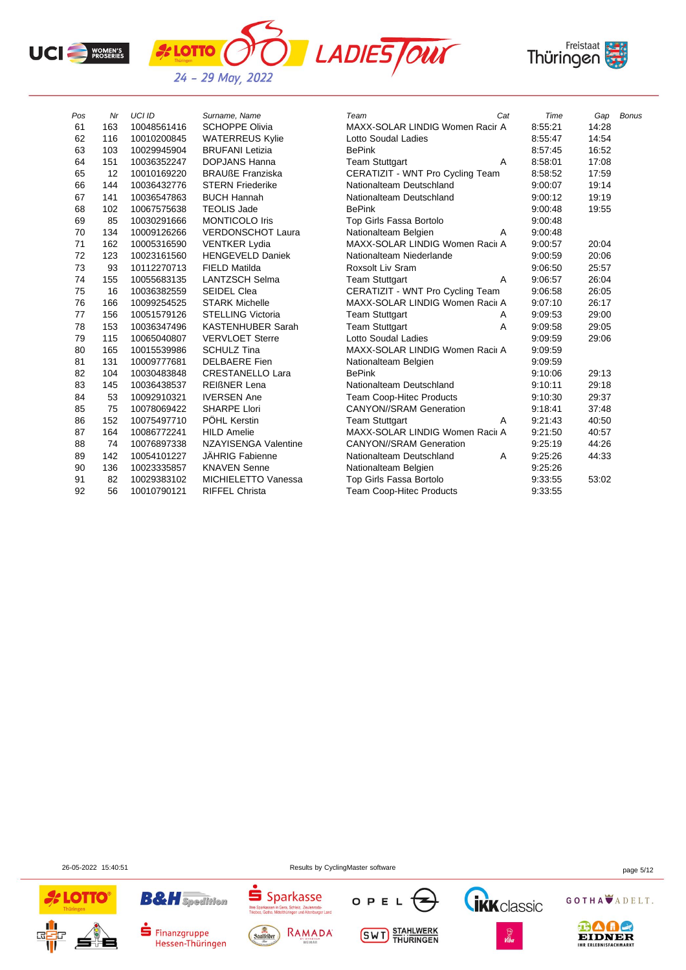





| Pos | Nr  | UCI ID      | Surname, Name            | Cat<br>Team                      | Time    | Gap   | <b>Bonus</b> |
|-----|-----|-------------|--------------------------|----------------------------------|---------|-------|--------------|
| 61  | 163 | 10048561416 | <b>SCHOPPE Olivia</b>    | MAXX-SOLAR LINDIG Women Racir A  | 8:55:21 | 14:28 |              |
| 62  | 116 | 10010200845 | <b>WATERREUS Kylie</b>   | Lotto Soudal Ladies              | 8:55:47 | 14:54 |              |
| 63  | 103 | 10029945904 | <b>BRUFANI Letizia</b>   | <b>BePink</b>                    | 8:57:45 | 16:52 |              |
| 64  | 151 | 10036352247 | <b>DOPJANS Hanna</b>     | <b>Team Stuttgart</b><br>Α       | 8:58:01 | 17:08 |              |
| 65  | 12  | 10010169220 | <b>BRAUßE Franziska</b>  | CERATIZIT - WNT Pro Cycling Team | 8:58:52 | 17:59 |              |
| 66  | 144 | 10036432776 | <b>STERN Friederike</b>  | Nationalteam Deutschland         | 9:00:07 | 19:14 |              |
| 67  | 141 | 10036547863 | <b>BUCH Hannah</b>       | Nationalteam Deutschland         | 9:00:12 | 19:19 |              |
| 68  | 102 | 10067575638 | <b>TEOLIS Jade</b>       | <b>BePink</b>                    | 9:00:48 | 19:55 |              |
| 69  | 85  | 10030291666 | <b>MONTICOLO Iris</b>    | Top Girls Fassa Bortolo          | 9:00:48 |       |              |
| 70  | 134 | 10009126266 | <b>VERDONSCHOT Laura</b> | Nationalteam Belgien<br>Α        | 9:00:48 |       |              |
| 71  | 162 | 10005316590 | <b>VENTKER Lydia</b>     | MAXX-SOLAR LINDIG Women Racii A  | 9:00:57 | 20:04 |              |
| 72  | 123 | 10023161560 | <b>HENGEVELD Daniek</b>  | Nationalteam Niederlande         | 9:00:59 | 20:06 |              |
| 73  | 93  | 10112270713 | <b>FIELD Matilda</b>     | Roxsolt Liv Sram                 | 9:06:50 | 25:57 |              |
| 74  | 155 | 10055683135 | <b>LANTZSCH Selma</b>    | <b>Team Stuttgart</b><br>A       | 9:06:57 | 26:04 |              |
| 75  | 16  | 10036382559 | <b>SEIDEL Clea</b>       | CERATIZIT - WNT Pro Cycling Team | 9:06:58 | 26:05 |              |
| 76  | 166 | 10099254525 | <b>STARK Michelle</b>    | MAXX-SOLAR LINDIG Women Racii A  | 9:07:10 | 26:17 |              |
| 77  | 156 | 10051579126 | <b>STELLING Victoria</b> | <b>Team Stuttgart</b><br>Α       | 9:09:53 | 29:00 |              |
| 78  | 153 | 10036347496 | <b>KASTENHUBER Sarah</b> | <b>Team Stuttgart</b><br>A       | 9:09:58 | 29:05 |              |
| 79  | 115 | 10065040807 | <b>VERVLOET Sterre</b>   | Lotto Soudal Ladies              | 9:09:59 | 29:06 |              |
| 80  | 165 | 10015539986 | <b>SCHULZ Tina</b>       | MAXX-SOLAR LINDIG Women Racii A  | 9:09:59 |       |              |
| 81  | 131 | 10009777681 | <b>DELBAERE Fien</b>     | Nationalteam Belgien             | 9:09:59 |       |              |
| 82  | 104 | 10030483848 | <b>CRESTANELLO Lara</b>  | <b>BePink</b>                    | 9:10:06 | 29:13 |              |
| 83  | 145 | 10036438537 | <b>REIGNER Lena</b>      | Nationalteam Deutschland         | 9:10:11 | 29:18 |              |
| 84  | 53  | 10092910321 | <b>IVERSEN Ane</b>       | <b>Team Coop-Hitec Products</b>  | 9:10:30 | 29:37 |              |
| 85  | 75  | 10078069422 | <b>SHARPE Llori</b>      | <b>CANYON//SRAM Generation</b>   | 9:18:41 | 37:48 |              |
| 86  | 152 | 10075497710 | PÖHL Kerstin             | <b>Team Stuttgart</b><br>Α       | 9:21:43 | 40:50 |              |
| 87  | 164 | 10086772241 | <b>HILD Amelie</b>       | MAXX-SOLAR LINDIG Women Racii A  | 9:21:50 | 40:57 |              |
| 88  | 74  | 10076897338 | NZAYISENGA Valentine     | <b>CANYON//SRAM Generation</b>   | 9:25:19 | 44:26 |              |
| 89  | 142 | 10054101227 | JÄHRIG Fabienne          | Nationalteam Deutschland<br>A    | 9:25:26 | 44:33 |              |
| 90  | 136 | 10023335857 | <b>KNAVEN Senne</b>      | Nationalteam Belgien             | 9:25:26 |       |              |
| 91  | 82  | 10029383102 | MICHIELETTO Vanessa      | Top Girls Fassa Bortolo          | 9:33:55 | 53:02 |              |
| 92  | 56  | 10010790121 | <b>RIFFEL Christa</b>    | <b>Team Coop-Hitec Products</b>  | 9:33:55 |       |              |

26-05-2022 15:40:51 Results by CyclingMaster software page 5/12



**B&H** Spedition

 $\blacksquare$  Finanzgruppe

Hessen-Thüringen









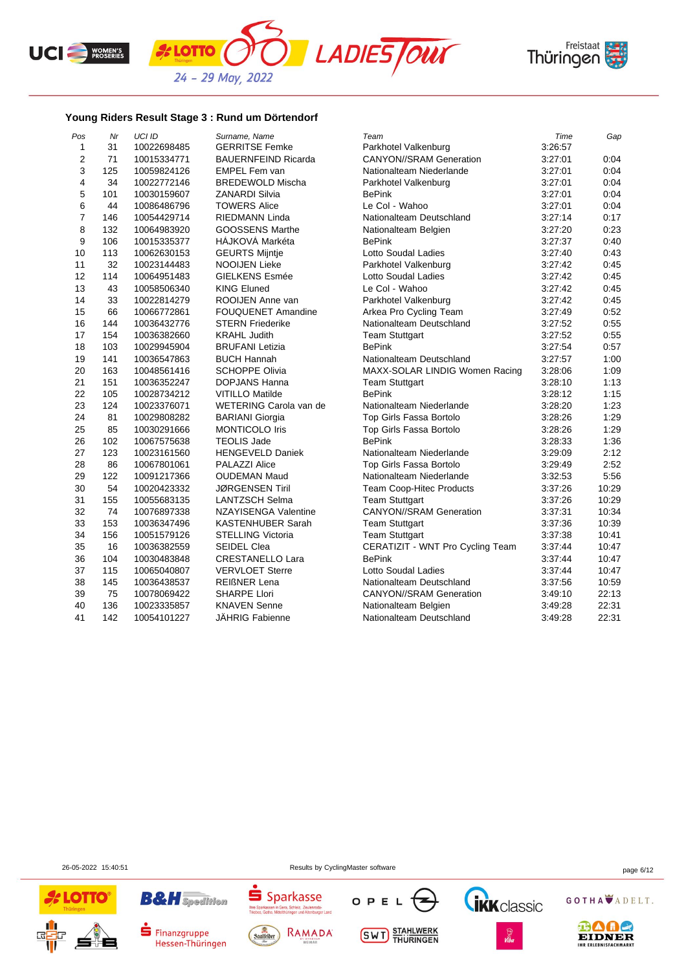





## **Young Riders Result Stage 3 : Rund um Dörtendorf**

| Pos            | Nr  | <b>UCI ID</b> | Surname, Name              | Team                             | Time    | Gap   |
|----------------|-----|---------------|----------------------------|----------------------------------|---------|-------|
| $\mathbf{1}$   | 31  | 10022698485   | <b>GERRITSE Femke</b>      | Parkhotel Valkenburg             | 3:26:57 |       |
| $\overline{2}$ | 71  | 10015334771   | <b>BAUERNFEIND Ricarda</b> | <b>CANYON//SRAM Generation</b>   | 3.27:01 | 0:04  |
| 3              | 125 | 10059824126   | <b>EMPEL Fem van</b>       | Nationalteam Niederlande         | 3:27:01 | 0:04  |
| 4              | 34  | 10022772146   | <b>BREDEWOLD Mischa</b>    | Parkhotel Valkenburg             | 3.27:01 | 0:04  |
| 5              | 101 | 10030159607   | <b>ZANARDI Silvia</b>      | <b>BePink</b>                    | 3:27:01 | 0:04  |
| 6              | 44  | 10086486796   | <b>TOWERS Alice</b>        | Le Col - Wahoo                   | 3:27:01 | 0:04  |
| $\overline{7}$ | 146 | 10054429714   | RIEDMANN Linda             | Nationalteam Deutschland         | 3:27:14 | 0:17  |
| 8              | 132 | 10064983920   | <b>GOOSSENS Marthe</b>     | Nationalteam Belgien             | 3:27:20 | 0:23  |
| 9              | 106 | 10015335377   | <b>HAJKOVA Markéta</b>     | <b>BePink</b>                    | 3:27:37 | 0:40  |
| 10             | 113 | 10062630153   | <b>GEURTS Mijntje</b>      | Lotto Soudal Ladies              | 3:27:40 | 0:43  |
| 11             | 32  | 10023144483   | <b>NOOIJEN Lieke</b>       | Parkhotel Valkenburg             | 3:27:42 | 0:45  |
| 12             | 114 | 10064951483   | <b>GIELKENS Esmée</b>      | Lotto Soudal Ladies              | 3:27:42 | 0:45  |
| 13             | 43  | 10058506340   | <b>KING Eluned</b>         | Le Col - Wahoo                   | 3:27:42 | 0:45  |
| 14             | 33  | 10022814279   | ROOIJEN Anne van           | Parkhotel Valkenburg             | 3:27:42 | 0:45  |
| 15             | 66  | 10066772861   | <b>FOUQUENET Amandine</b>  | Arkea Pro Cycling Team           | 3:27:49 | 0:52  |
| 16             | 144 | 10036432776   | <b>STERN Friederike</b>    | Nationalteam Deutschland         | 3:27:52 | 0:55  |
| 17             | 154 | 10036382660   | <b>KRAHL Judith</b>        | <b>Team Stuttgart</b>            | 3:27:52 | 0:55  |
| 18             | 103 | 10029945904   | <b>BRUFANI Letizia</b>     | <b>BePink</b>                    | 3:27:54 | 0:57  |
| 19             | 141 | 10036547863   | <b>BUCH Hannah</b>         | Nationalteam Deutschland         | 3:27:57 | 1:00  |
| 20             | 163 | 10048561416   | <b>SCHOPPE Olivia</b>      | MAXX-SOLAR LINDIG Women Racing   | 3:28:06 | 1:09  |
| 21             | 151 | 10036352247   | DOPJANS Hanna              | <b>Team Stuttgart</b>            | 3:28:10 | 1:13  |
| 22             | 105 | 10028734212   | <b>VITILLO Matilde</b>     | <b>BePink</b>                    | 3:28:12 | 1:15  |
| 23             | 124 | 10023376071   | WETERING Carola van de     | Nationalteam Niederlande         | 3:28:20 | 1:23  |
| 24             | 81  | 10029808282   | <b>BARIANI Giorgia</b>     | Top Girls Fassa Bortolo          | 3.28.26 | 1:29  |
| 25             | 85  | 10030291666   | <b>MONTICOLO Iris</b>      | Top Girls Fassa Bortolo          | 3:28:26 | 1:29  |
| 26             | 102 | 10067575638   | <b>TEOLIS Jade</b>         | <b>BePink</b>                    | 3:28:33 | 1:36  |
| 27             | 123 | 10023161560   | <b>HENGEVELD Daniek</b>    | Nationalteam Niederlande         | 3:29:09 | 2:12  |
| 28             | 86  | 10067801061   | <b>PALAZZI Alice</b>       | Top Girls Fassa Bortolo          | 3:29:49 | 2:52  |
| 29             | 122 | 10091217366   | <b>OUDEMAN Maud</b>        | Nationalteam Niederlande         | 3:32:53 | 5:56  |
| 30             | 54  | 10020423332   | <b>JØRGENSEN Tiril</b>     | Team Coop-Hitec Products         | 3:37:26 | 10:29 |
| 31             | 155 | 10055683135   | <b>LANTZSCH Selma</b>      | <b>Team Stuttgart</b>            | 3.37.26 | 10:29 |
| 32             | 74  | 10076897338   | NZAYISENGA Valentine       | <b>CANYON//SRAM Generation</b>   | 3:37:31 | 10:34 |
| 33             | 153 | 10036347496   | <b>KASTENHUBER Sarah</b>   | <b>Team Stuttgart</b>            | 3:37:36 | 10:39 |
| 34             | 156 | 10051579126   | <b>STELLING Victoria</b>   | <b>Team Stuttgart</b>            | 3.37.38 | 10:41 |
| 35             | 16  | 10036382559   | <b>SEIDEL Clea</b>         | CERATIZIT - WNT Pro Cycling Team | 3:37:44 | 10:47 |
| 36             | 104 | 10030483848   | <b>CRESTANELLO Lara</b>    | <b>BePink</b>                    | 3:37:44 | 10:47 |
| 37             | 115 | 10065040807   | <b>VERVLOET Sterre</b>     | <b>Lotto Soudal Ladies</b>       | 3:37:44 | 10:47 |
| 38             | 145 | 10036438537   | <b>REIGNER Lena</b>        | Nationalteam Deutschland         | 3:37:56 | 10:59 |
| 39             | 75  | 10078069422   | <b>SHARPE Llori</b>        | <b>CANYON//SRAM Generation</b>   | 3:49:10 | 22:13 |
| 40             | 136 | 10023335857   | <b>KNAVEN Senne</b>        | Nationalteam Belgien             | 3:49:28 | 22:31 |
| 41             | 142 | 10054101227   | <b>JAHRIG Fabienne</b>     | Nationalteam Deutschland         | 3:49:28 | 22:31 |





**B&H** Spedition

Finanzgruppe

Hessen-Thüringen





**SWT** STAHLWERK



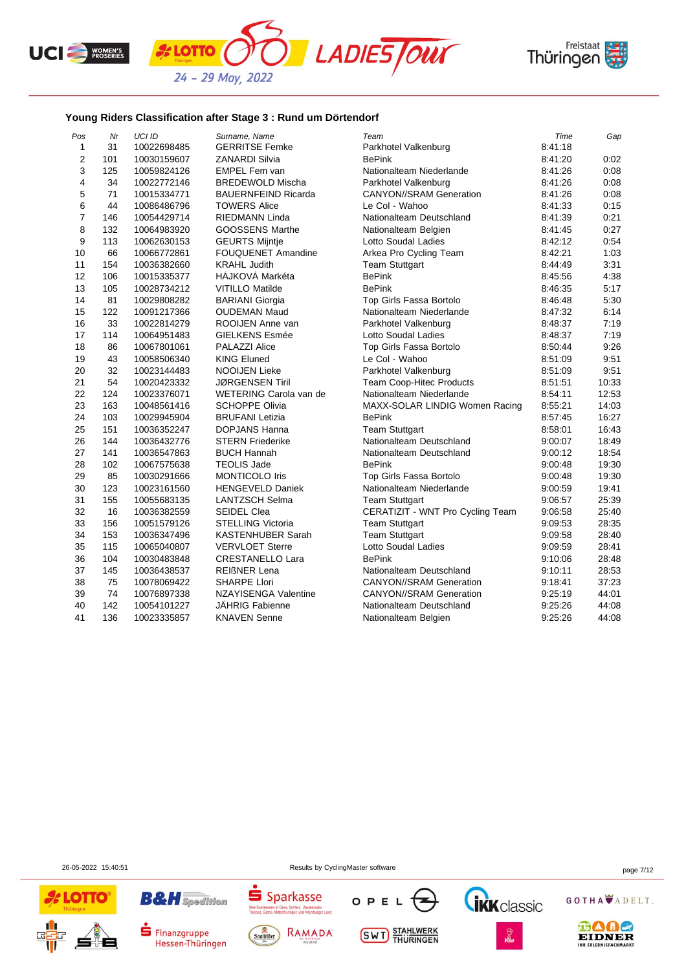





## **Young Riders Classification after Stage 3 : Rund um Dörtendorf**

| Pos            | Nr  | <b>UCI ID</b> | Surname, Name               | Team                             | Time    | Gap   |
|----------------|-----|---------------|-----------------------------|----------------------------------|---------|-------|
| 1              | 31  | 10022698485   | <b>GERRITSE Femke</b>       | Parkhotel Valkenburg             | 8:41:18 |       |
| $\overline{2}$ | 101 | 10030159607   | <b>ZANARDI Silvia</b>       | <b>BePink</b>                    | 8:41:20 | 0:02  |
| 3              | 125 | 10059824126   | <b>EMPEL Fem van</b>        | Nationalteam Niederlande         | 8:41:26 | 0:08  |
| 4              | 34  | 10022772146   | <b>BREDEWOLD Mischa</b>     | Parkhotel Valkenburg             | 8:41:26 | 0:08  |
| 5              | 71  | 10015334771   | <b>BAUERNFEIND Ricarda</b>  | <b>CANYON//SRAM Generation</b>   | 8:41:26 | 0:08  |
| 6              | 44  | 10086486796   | <b>TOWERS Alice</b>         | Le Col - Wahoo                   | 8:41:33 | 0:15  |
| $\overline{7}$ | 146 | 10054429714   | RIEDMANN Linda              | Nationalteam Deutschland         | 8:41:39 | 0:21  |
| 8              | 132 | 10064983920   | GOOSSENS Marthe             | Nationalteam Belgien             | 8:41:45 | 0:27  |
| 9              | 113 | 10062630153   | <b>GEURTS Mijntje</b>       | Lotto Soudal Ladies              | 8:42:12 | 0:54  |
| 10             | 66  | 10066772861   | <b>FOUQUENET Amandine</b>   | Arkea Pro Cycling Team           | 8:42:21 | 1:03  |
| 11             | 154 | 10036382660   | <b>KRAHL Judith</b>         | <b>Team Stuttgart</b>            | 8:44:49 | 3:31  |
| 12             | 106 | 10015335377   | HÁJKOVÁ Markéta             | <b>BePink</b>                    | 8:45:56 | 4:38  |
| 13             | 105 | 10028734212   | <b>VITILLO Matilde</b>      | <b>BePink</b>                    | 8:46:35 | 5:17  |
| 14             | 81  | 10029808282   | <b>BARIANI Giorgia</b>      | Top Girls Fassa Bortolo          | 8:46:48 | 5:30  |
| 15             | 122 | 10091217366   | <b>OUDEMAN Maud</b>         | Nationalteam Niederlande         | 8:47:32 | 6:14  |
| 16             | 33  | 10022814279   | ROOIJEN Anne van            | Parkhotel Valkenburg             | 8:48:37 | 7:19  |
| 17             | 114 | 10064951483   | <b>GIELKENS Esmée</b>       | Lotto Soudal Ladies              | 8:48:37 | 7:19  |
| 18             | 86  | 10067801061   | PALAZZI Alice               | Top Girls Fassa Bortolo          | 8:50:44 | 9:26  |
| 19             | 43  | 10058506340   | <b>KING Eluned</b>          | Le Col - Wahoo                   | 8:51:09 | 9:51  |
| 20             | 32  | 10023144483   | <b>NOOIJEN Lieke</b>        | Parkhotel Valkenburg             | 8:51:09 | 9:51  |
| 21             | 54  | 10020423332   | <b>JØRGENSEN Tiril</b>      | <b>Team Coop-Hitec Products</b>  | 8:51:51 | 10:33 |
| 22             | 124 | 10023376071   | WETERING Carola van de      | Nationalteam Niederlande         | 8:54:11 | 12:53 |
| 23             | 163 | 10048561416   | <b>SCHOPPE Olivia</b>       | MAXX-SOLAR LINDIG Women Racing   | 8:55:21 | 14:03 |
| 24             | 103 | 10029945904   | <b>BRUFANI</b> Letizia      | <b>BePink</b>                    | 8:57:45 | 16:27 |
| 25             | 151 | 10036352247   | DOPJANS Hanna               | <b>Team Stuttgart</b>            | 8:58:01 | 16:43 |
| 26             | 144 | 10036432776   | <b>STERN Friederike</b>     | Nationalteam Deutschland         | 9:00:07 | 18:49 |
| 27             | 141 | 10036547863   | <b>BUCH Hannah</b>          | Nationalteam Deutschland         | 9:00:12 | 18:54 |
| 28             | 102 | 10067575638   | <b>TEOLIS Jade</b>          | <b>BePink</b>                    | 9:00:48 | 19:30 |
| 29             | 85  | 10030291666   | <b>MONTICOLO Iris</b>       | Top Girls Fassa Bortolo          | 9:00:48 | 19:30 |
| 30             | 123 | 10023161560   | <b>HENGEVELD Daniek</b>     | Nationalteam Niederlande         | 9:00:59 | 19:41 |
| 31             | 155 | 10055683135   | <b>LANTZSCH Selma</b>       | <b>Team Stuttgart</b>            | 9:06:57 | 25:39 |
| 32             | 16  | 10036382559   | <b>SEIDEL Clea</b>          | CERATIZIT - WNT Pro Cycling Team | 9:06:58 | 25:40 |
| 33             | 156 | 10051579126   | <b>STELLING Victoria</b>    | <b>Team Stuttgart</b>            | 9.09.53 | 28:35 |
| 34             | 153 | 10036347496   | <b>KASTENHUBER Sarah</b>    | <b>Team Stuttgart</b>            | 9:09:58 | 28:40 |
| 35             | 115 | 10065040807   | <b>VERVLOET Sterre</b>      | Lotto Soudal Ladies              | 9:09:59 | 28:41 |
| 36             | 104 | 10030483848   | CRESTANELLO Lara            | <b>BePink</b>                    | 9:10:06 | 28:48 |
| 37             | 145 | 10036438537   | <b>REIßNER Lena</b>         | Nationalteam Deutschland         | 9:10:11 | 28:53 |
| 38             | 75  | 10078069422   | <b>SHARPE Llori</b>         | <b>CANYON//SRAM Generation</b>   | 9:18:41 | 37:23 |
| 39             | 74  | 10076897338   | <b>NZAYISENGA Valentine</b> | <b>CANYON//SRAM Generation</b>   | 9:25:19 | 44:01 |
| 40             | 142 | 10054101227   | <b>JAHRIG Fabienne</b>      | Nationalteam Deutschland         | 9.25.26 | 44:08 |
| 41             | 136 | 10023335857   | <b>KNAVEN Senne</b>         | Nationalteam Belgien             | 9:25:26 | 44:08 |



Finanzgruppe

Hessen-Thüringen

26-05-2022 15:40:51 Results by CyclingMaster software page 7/12









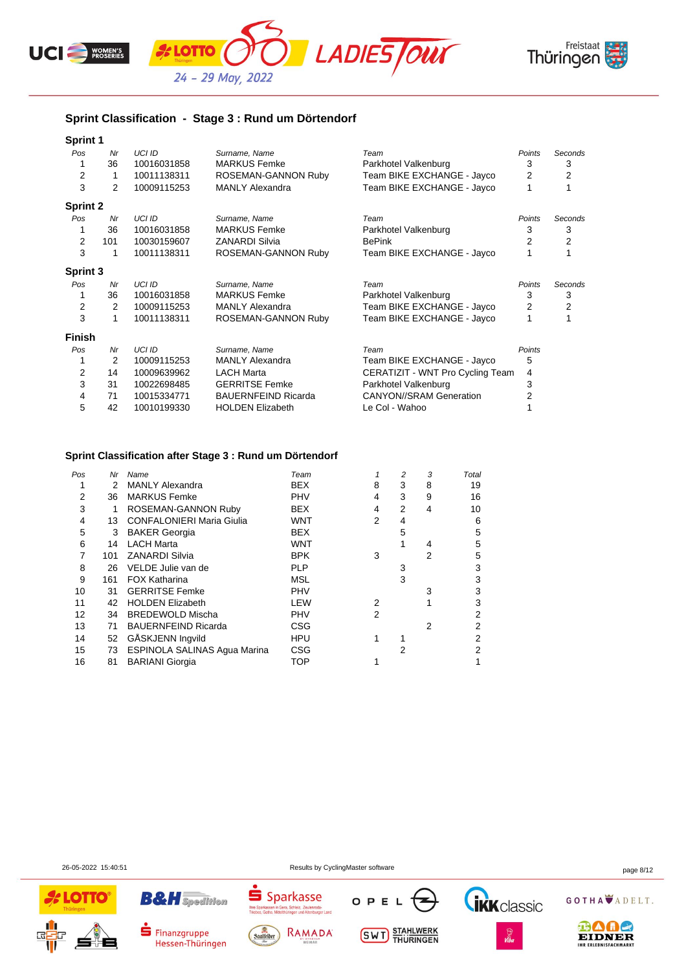





# **Sprint Classification - Stage 3 : Rund um Dörtendorf**

| <b>Sprint 1</b> |     |               |                            |                                  |                |         |
|-----------------|-----|---------------|----------------------------|----------------------------------|----------------|---------|
| Pos             | Nr  | <b>UCI ID</b> | Surname, Name              | Team                             | Points         | Seconds |
|                 | 36  | 10016031858   | <b>MARKUS Femke</b>        | Parkhotel Valkenburg             | 3              | 3       |
| 2               | 1   | 10011138311   | ROSEMAN-GANNON Ruby        | Team BIKE EXCHANGE - Jayco       | $\overline{2}$ | 2       |
| 3               | 2   | 10009115253   | <b>MANLY Alexandra</b>     | Team BIKE EXCHANGE - Jayco       |                |         |
| <b>Sprint 2</b> |     |               |                            |                                  |                |         |
| Pos             | Nr  | <b>UCI ID</b> | Surname, Name              | Team                             | Points         | Seconds |
|                 | 36  | 10016031858   | <b>MARKUS Femke</b>        | Parkhotel Valkenburg             | 3              | 3       |
| 2               | 101 | 10030159607   | <b>ZANARDI Silvia</b>      | <b>BePink</b>                    | 2              | 2       |
| 3               | 1   | 10011138311   | ROSEMAN-GANNON Ruby        | Team BIKE EXCHANGE - Jayco       |                |         |
| Sprint 3        |     |               |                            |                                  |                |         |
| Pos             | Nr  | <b>UCI ID</b> | Surname, Name              | Team                             | Points         | Seconds |
|                 | 36  | 10016031858   | <b>MARKUS Femke</b>        | Parkhotel Valkenburg             | 3              | 3       |
| 2               | 2   | 10009115253   | <b>MANLY Alexandra</b>     | Team BIKE EXCHANGE - Jayco       | 2              | 2       |
| 3               | 1   | 10011138311   | ROSEMAN-GANNON Ruby        | Team BIKE EXCHANGE - Jayco       | 1              |         |
| <b>Finish</b>   |     |               |                            |                                  |                |         |
| Pos             | Nr  | <b>UCI ID</b> | Surname, Name              | Team                             | Points         |         |
|                 | 2   | 10009115253   | <b>MANLY Alexandra</b>     | Team BIKE EXCHANGE - Jayco       | 5              |         |
| 2               | 14  | 10009639962   | <b>LACH Marta</b>          | CERATIZIT - WNT Pro Cycling Team | 4              |         |
| 3               | 31  | 10022698485   | <b>GERRITSE Femke</b>      | Parkhotel Valkenburg             | 3              |         |
| 4               | 71  | 10015334771   | <b>BAUERNFEIND Ricarda</b> | <b>CANYON//SRAM Generation</b>   | 2              |         |
| 5               | 42  | 10010199330   | <b>HOLDEN Elizabeth</b>    | Le Col - Wahoo                   |                |         |

#### **Sprint Classification after Stage 3 : Rund um Dörtendorf**

| Pos | Nr  | Name                             | Team       |   | 2 | 3 | Total |
|-----|-----|----------------------------------|------------|---|---|---|-------|
|     | 2   | <b>MANLY Alexandra</b>           | <b>BEX</b> | 8 | 3 | 8 | 19    |
| 2   | 36  | <b>MARKUS Femke</b>              | <b>PHV</b> | 4 | 3 | 9 | 16    |
| 3   |     | ROSEMAN-GANNON Ruby              | <b>BEX</b> | 4 | 2 | 4 | 10    |
| 4   | 13  | <b>CONFALONIERI Maria Giulia</b> | <b>WNT</b> | 2 | 4 |   | 6     |
| 5   | 3   | <b>BAKER Georgia</b>             | <b>BEX</b> |   | 5 |   | 5     |
| 6   | 14  | <b>LACH Marta</b>                | <b>WNT</b> |   |   | 4 | 5     |
|     | 101 | <b>ZANARDI Silvia</b>            | <b>BPK</b> | 3 |   | 2 | 5     |
| 8   | 26  | VELDE Julie van de               | <b>PLP</b> |   | 3 |   | 3     |
| 9   | 161 | <b>FOX Katharina</b>             | <b>MSL</b> |   | 3 |   | 3     |
| 10  | 31  | <b>GERRITSE Femke</b>            | <b>PHV</b> |   |   | 3 | 3     |
| 11  | 42  | <b>HOLDEN Elizabeth</b>          | <b>LEW</b> | 2 |   |   | 3     |
| 12  | 34  | <b>BREDEWOLD Mischa</b>          | <b>PHV</b> | 2 |   |   |       |
| 13  | 71  | <b>BAUERNFEIND Ricarda</b>       | CSG        |   |   | 2 | 2     |
| 14  | 52  | GÅSKJENN Ingvild                 | <b>HPU</b> |   |   |   | 2     |
| 15  | 73  | ESPINOLA SALINAS Agua Marina     | <b>CSG</b> |   | 2 |   | 2     |
| 16  | 81  | <b>BARIANI Giorgia</b>           | TOP        |   |   |   |       |
|     |     |                                  |            |   |   |   |       |

**B&H** Spedition

Finanzgruppe

Hessen-Thüringen

OPEL

**SWT** STAHLWERK



26-05-2022 15:40:51 Results by CyclingMaster software page 8/12

 $S<sub>parkasse</sub>$ 

lhre S

Saalfelder

J d I K d SSC<br>Gera, Schleiz, Zeulenroda-<br>ttelthüringen und Altenburger Land

RAMADA

GOTHA ADELT.

**Tikk** classic

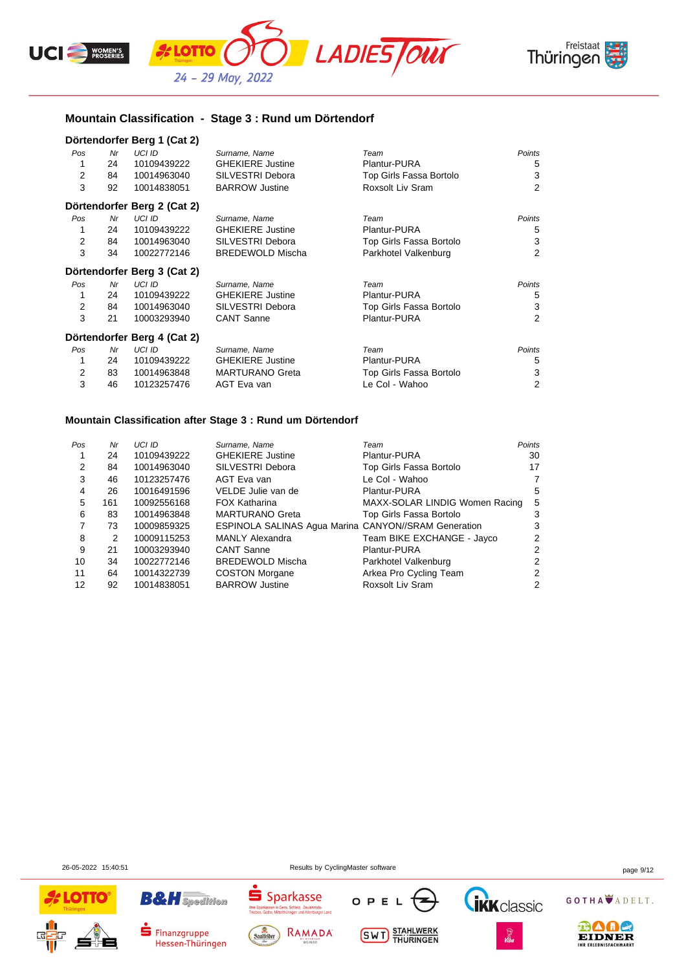



## **Mountain Classification - Stage 3 : Rund um Dörtendorf**

#### **Dörtendorfer Berg 1 (Cat 2)**

| Pos | Nr | <b>UCI ID</b>               | Surname, Name           | Team                    | Points         |
|-----|----|-----------------------------|-------------------------|-------------------------|----------------|
|     | 24 | 10109439222                 | <b>GHEKIERE Justine</b> | Plantur-PURA            | 5              |
| 2   | 84 | 10014963040                 | SILVESTRI Debora        | Top Girls Fassa Bortolo | 3              |
| 3   | 92 | 10014838051                 | <b>BARROW Justine</b>   | Roxsolt Liv Sram        | $\overline{2}$ |
|     |    | Dörtendorfer Berg 2 (Cat 2) |                         |                         |                |
| Pos | Nr | UCI ID                      | Surname, Name           | Team                    | Points         |
|     | 24 | 10109439222                 | <b>GHEKIERE Justine</b> | Plantur-PURA            | 5              |
| 2   | 84 | 10014963040                 | SILVESTRI Debora        | Top Girls Fassa Bortolo | 3              |
| 3   | 34 | 10022772146                 | <b>BREDEWOLD Mischa</b> | Parkhotel Valkenburg    | $\overline{2}$ |
|     |    | Dörtendorfer Berg 3 (Cat 2) |                         |                         |                |
| Pos | Nr | UCI ID                      | Surname, Name           | Team                    | Points         |
|     | 24 | 10109439222                 | <b>GHEKIERE Justine</b> | Plantur-PURA            | 5              |
| 2   | 84 | 10014963040                 | SILVESTRI Debora        | Top Girls Fassa Bortolo | 3              |
| 3   | 21 | 10003293940                 | <b>CANT Sanne</b>       | Plantur-PURA            | 2              |
|     |    | Dörtendorfer Berg 4 (Cat 2) |                         |                         |                |
| Pos | Nr | UCI ID                      | Surname, Name           | Team                    | Points         |
|     | 24 | 10109439222                 | <b>GHEKIERE Justine</b> | Plantur-PURA            | 5              |
| 2   | 83 | 10014963848                 | <b>MARTURANO Greta</b>  | Top Girls Fassa Bortolo | 3              |
| 3   | 46 | 10123257476                 | AGT Eva van             | Le Col - Wahoo          | $\overline{2}$ |

#### **Mountain Classification after Stage 3 : Rund um Dörtendorf**

| Pos | Nr  | <b>UCI ID</b> | Surname, Name                                        | Team                           | Points |
|-----|-----|---------------|------------------------------------------------------|--------------------------------|--------|
|     | 24  | 10109439222   | <b>GHEKIERE Justine</b>                              | Plantur-PURA                   | 30     |
| 2   | 84  | 10014963040   | SILVESTRI Debora                                     | Top Girls Fassa Bortolo        | 17     |
| 3   | 46  | 10123257476   | AGT Eva van                                          | Le Col - Wahoo                 | 7      |
| 4   | 26  | 10016491596   | VELDE Julie van de                                   | Plantur-PURA                   | 5      |
| 5   | 161 | 10092556168   | <b>FOX Katharina</b>                                 | MAXX-SOLAR LINDIG Women Racing | 5      |
| 6   | 83  | 10014963848   | <b>MARTURANO Greta</b>                               | Top Girls Fassa Bortolo        | 3      |
|     | 73  | 10009859325   | ESPINOLA SALINAS Agua Marina CANYON//SRAM Generation |                                | 3      |
| 8   | 2   | 10009115253   | <b>MANLY Alexandra</b>                               | Team BIKE EXCHANGE - Jayco     | 2      |
| 9   | 21  | 10003293940   | <b>CANT Sanne</b>                                    | Plantur-PURA                   | 2      |
| 10  | 34  | 10022772146   | <b>BREDEWOLD Mischa</b>                              | Parkhotel Valkenburg           | 2      |
| 11  | 64  | 10014322739   | <b>COSTON Morgane</b>                                | Arkea Pro Cycling Team         | 2      |
| 12  | 92  | 10014838051   | <b>BARROW Justine</b>                                | Roxsolt Liv Sram               | 2      |

26-05-2022 15:40:51 Results by CyclingMaster software page 9/12





Hessen-Thüringen

Finanzgruppe





**SWT** STAHLWERK



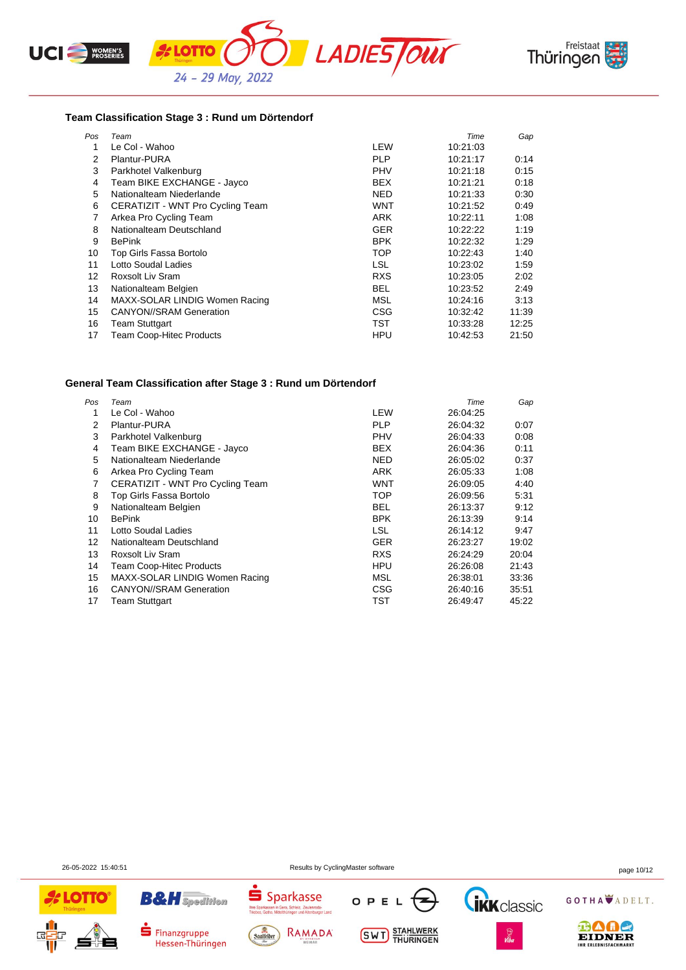





#### **Team Classification Stage 3 : Rund um Dörtendorf**

| Pos | Team                             |            | Time     | Gap   |
|-----|----------------------------------|------------|----------|-------|
|     | Le Col - Wahoo                   | LEW        | 10:21:03 |       |
| 2   | Plantur-PURA                     | <b>PLP</b> | 10:21:17 | 0:14  |
| 3   | Parkhotel Valkenburg             | PHV        | 10:21:18 | 0:15  |
| 4   | Team BIKE EXCHANGE - Jayco       | <b>BEX</b> | 10.21.21 | 0:18  |
| 5   | Nationalteam Niederlande         | NED        | 10.21.33 | 0:30  |
| 6   | CERATIZIT - WNT Pro Cycling Team | WNT        | 10:21:52 | 0:49  |
| 7   | Arkea Pro Cycling Team           | ARK        | 10:22:11 | 1:08  |
| 8   | Nationalteam Deutschland         | <b>GER</b> | 10:22:22 | 1:19  |
| 9   | <b>BePink</b>                    | <b>BPK</b> | 10:22:32 | 1:29  |
| 10  | Top Girls Fassa Bortolo          | <b>TOP</b> | 10:22:43 | 1:40  |
| 11  | Lotto Soudal Ladies              | <b>LSL</b> | 10:23:02 | 1:59  |
| 12  | Roxsolt Liv Sram                 | <b>RXS</b> | 10:23:05 | 2:02  |
| 13  | Nationalteam Belgien             | <b>BEL</b> | 10:23:52 | 2:49  |
| 14  | MAXX-SOLAR LINDIG Women Racing   | <b>MSL</b> | 10:24:16 | 3:13  |
| 15  | <b>CANYON//SRAM Generation</b>   | <b>CSG</b> | 10:32:42 | 11:39 |
| 16  | Team Stuttgart                   | <b>TST</b> | 10:33:28 | 12:25 |
| 17  | <b>Team Coop-Hitec Products</b>  | HPU        | 10:42:53 | 21:50 |

#### **General Team Classification after Stage 3 : Rund um Dörtendorf**

| Pos | Team                             |            | Time     | Gap   |
|-----|----------------------------------|------------|----------|-------|
|     | Le Col - Wahoo                   | LEW        | 26:04:25 |       |
| 2   | <b>Plantur-PURA</b>              | <b>PLP</b> | 26:04:32 | 0:07  |
| 3   | Parkhotel Valkenburg             | <b>PHV</b> | 26.04.33 | 0:08  |
| 4   | Team BIKE EXCHANGE - Jayco       | <b>BEX</b> | 26:04:36 | 0:11  |
| 5   | Nationalteam Niederlande         | <b>NED</b> | 26.05.02 | 0:37  |
| 6   | Arkea Pro Cycling Team           | <b>ARK</b> | 26:05:33 | 1:08  |
| 7   | CERATIZIT - WNT Pro Cycling Team | <b>WNT</b> | 26:09:05 | 4:40  |
| 8   | Top Girls Fassa Bortolo          | TOP        | 26:09:56 | 5:31  |
| 9   | Nationalteam Belgien             | <b>BEL</b> | 26:13:37 | 9:12  |
| 10  | <b>BePink</b>                    | <b>BPK</b> | 26:13:39 | 9:14  |
| 11  | Lotto Soudal Ladies              | <b>LSL</b> | 26.14.12 | 9:47  |
| 12  | Nationalteam Deutschland         | <b>GER</b> | 26:23:27 | 19:02 |
| 13  | Roxsolt Liv Sram                 | <b>RXS</b> | 26:24:29 | 20:04 |
| 14  | <b>Team Coop-Hitec Products</b>  | <b>HPU</b> | 26:26:08 | 21:43 |
| 15  | MAXX-SOLAR LINDIG Women Racing   | MSL        | 26.38.01 | 33:36 |
| 16  | <b>CANYON//SRAM Generation</b>   | <b>CSG</b> | 26.40.16 | 35:51 |
| 17  | <b>Team Stuttgart</b>            | TST        | 26:49:47 | 45:22 |

26-05-2022 15:40:51 Results by CyclingMaster software page 10/12





Finanzgruppe

Hessen-Thüringen



RAMADA

Saalfelder



**SWT** STAHLWERK



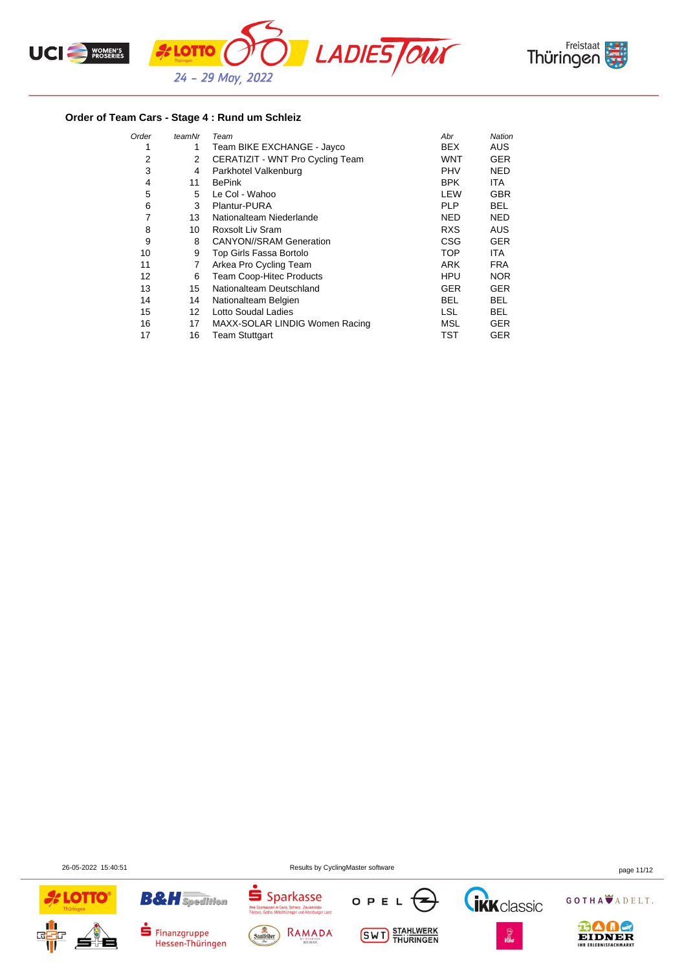



## **Order of Team Cars - Stage 4 : Rund um Schleiz**

| Order | teamNr            | Team                             | Abr        | Nation     |
|-------|-------------------|----------------------------------|------------|------------|
| 1     | 1                 | Team BIKE EXCHANGE - Jayco       | <b>BEX</b> | <b>AUS</b> |
| 2     | 2                 | CERATIZIT - WNT Pro Cycling Team | <b>WNT</b> | GER        |
| 3     | 4                 | Parkhotel Valkenburg             | <b>PHV</b> | NED        |
| 4     | 11                | <b>BePink</b>                    | <b>BPK</b> | ITA.       |
| 5     | 5                 | Le Col - Wahoo                   | LEW        | <b>GBR</b> |
| 6     | 3                 | Plantur-PURA                     | <b>PLP</b> | BEL        |
| 7     | 13                | Nationalteam Niederlande         | NED        | <b>NED</b> |
| 8     | 10                | Roxsolt Liv Sram                 | <b>RXS</b> | <b>AUS</b> |
| 9     | 8                 | <b>CANYON//SRAM Generation</b>   | CSG        | <b>GER</b> |
| 10    | 9                 | Top Girls Fassa Bortolo          | <b>TOP</b> | ITA.       |
| 11    | 7                 | Arkea Pro Cycling Team           | <b>ARK</b> | <b>FRA</b> |
| 12    | 6                 | <b>Team Coop-Hitec Products</b>  | <b>HPU</b> | <b>NOR</b> |
| 13    | 15                | Nationalteam Deutschland         | <b>GER</b> | GER        |
| 14    | 14                | Nationalteam Belgien             | BEL        | BEL        |
| 15    | $12 \overline{ }$ | Lotto Soudal Ladies              | <b>LSL</b> | BEL        |
| 16    | 17                | MAXX-SOLAR LINDIG Women Racing   | MSL        | GER        |
| 17    | 16                | <b>Team Stuttgart</b>            | TST        | GER        |

26-05-2022 15:40:51 Results by CyclingMaster software page 11/12





Hessen-Thüringen









⊕∆ae EIDNER